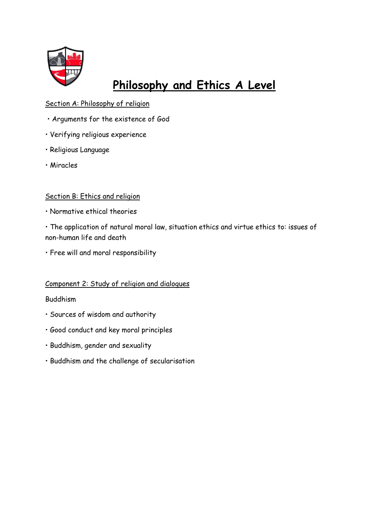

# **Philosophy and Ethics A Level**

## Section A: Philosophy of religion

- Arguments for the existence of God
- Verifying religious experience
- Religious Language
- Miracles

### Section B: Ethics and religion

• Normative ethical theories

• The application of natural moral law, situation ethics and virtue ethics to: issues of non-human life and death

• Free will and moral responsibility

## Component 2: Study of religion and dialogues

#### Buddhism

- Sources of wisdom and authority
- Good conduct and key moral principles
- Buddhism, gender and sexuality
- Buddhism and the challenge of secularisation